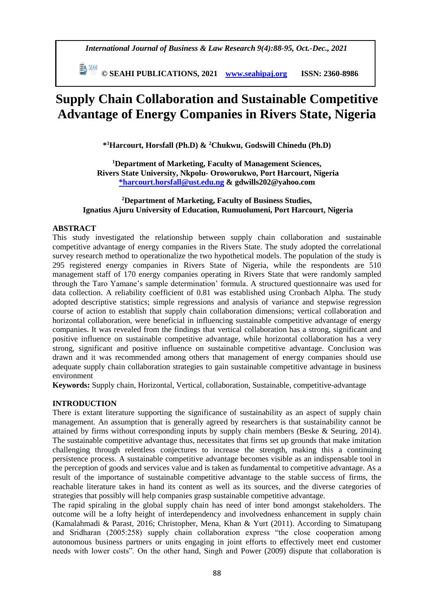*International Journal of Business & Law Research 9(4):88-95, Oct.-Dec., 2021*

 **© SEAHI PUBLICATIONS, 2021 [www.seahipaj.org](http://www.seahipaj.org/) ISSN: 2360-8986**

# **Supply Chain Collaboration and Sustainable Competitive Advantage of Energy Companies in Rivers State, Nigeria**

**\* <sup>1</sup>Harcourt, Horsfall (Ph.D) & <sup>2</sup>Chukwu, Godswill Chinedu (Ph.D)**

**<sup>1</sup>Department of Marketing, Faculty of Management Sciences, Rivers State University, Nkpolu- Oroworukwo, Port Harcourt, Nigeria \*harcourt.horsfall@ust.edu.ng & gdwills202@yahoo.com**

## **<sup>2</sup>Department of Marketing, Faculty of Business Studies, Ignatius Ajuru University of Education, Rumuolumeni, Port Harcourt, Nigeria**

## **ABSTRACT**

This study investigated the relationship between supply chain collaboration and sustainable competitive advantage of energy companies in the Rivers State. The study adopted the correlational survey research method to operationalize the two hypothetical models. The population of the study is 295 registered energy companies in Rivers State of Nigeria, while the respondents are 510 management staff of 170 energy companies operating in Rivers State that were randomly sampled through the Taro Yamane's sample determination' formula. A structured questionnaire was used for data collection. A reliability coefficient of 0.81 was established using Cronbach Alpha. The study adopted descriptive statistics; simple regressions and analysis of variance and stepwise regression course of action to establish that supply chain collaboration dimensions; vertical collaboration and horizontal collaboration, were beneficial in influencing sustainable competitive advantage of energy companies. It was revealed from the findings that vertical collaboration has a strong, significant and positive influence on sustainable competitive advantage, while horizontal collaboration has a very strong, significant and positive influence on sustainable competitive advantage. Conclusion was drawn and it was recommended among others that management of energy companies should use adequate supply chain collaboration strategies to gain sustainable competitive advantage in business environment

**Keywords:** Supply chain, Horizontal, Vertical, collaboration, Sustainable, competitive-advantage

# **INTRODUCTION**

There is extant literature supporting the significance of sustainability as an aspect of supply chain management. An assumption that is generally agreed by researchers is that sustainability cannot be attained by firms without corresponding inputs by supply chain members (Beske & Seuring, 2014). The sustainable competitive advantage thus, necessitates that firms set up grounds that make imitation challenging through relentless conjectures to increase the strength, making this a continuing persistence process. A sustainable competitive advantage becomes visible as an indispensable tool in the perception of goods and services value and is taken as fundamental to competitive advantage. As a result of the importance of sustainable competitive advantage to the stable success of firms, the reachable literature takes in hand its content as well as its sources, and the diverse categories of strategies that possibly will help companies grasp sustainable competitive advantage.

The rapid spiraling in the global supply chain has need of inter bond amongst stakeholders. The outcome will be a lofty height of interdependency and involvedness enhancement in supply chain (Kamalahmadi & Parast, 2016; Christopher, Mena, Khan & Yurt (2011). According to Simatupang and Sridharan (2005:258) supply chain collaboration express "the close cooperation among autonomous business partners or units engaging in joint efforts to effectively meet end customer needs with lower costs". On the other hand, Singh and Power (2009) dispute that collaboration is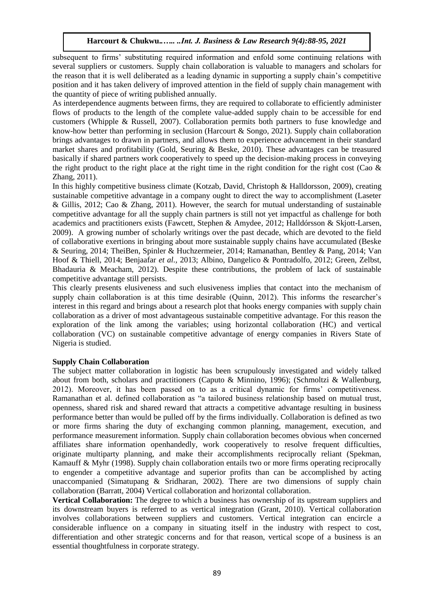subsequent to firms' substituting required information and enfold some continuing relations with several suppliers or customers. Supply chain collaboration is valuable to managers and scholars for the reason that it is well deliberated as a leading dynamic in supporting a supply chain's competitive position and it has taken delivery of improved attention in the field of supply chain management with the quantity of piece of writing published annually.

As interdependence augments between firms, they are required to collaborate to efficiently administer flows of products to the length of the complete value-added supply chain to be accessible for end customers (Whipple & Russell, 2007). Collaboration permits both partners to fuse knowledge and know-how better than performing in seclusion (Harcourt & Songo, 2021). Supply chain collaboration brings advantages to drawn in partners, and allows them to experience advancement in their standard market shares and profitability (Gold, Seuring & Beske, 2010). These advantages can be treasured basically if shared partners work cooperatively to speed up the decision-making process in conveying the right product to the right place at the right time in the right condition for the right cost (Cao  $\&$ Zhang, 2011).

In this highly competitive business climate (Kotzab, David, Christoph & Halldorsson*,* 2009), creating sustainable competitive advantage in a company ought to direct the way to accomplishment (Laseter & Gillis, 2012; Cao & Zhang, 2011). However, the search for mutual understanding of sustainable competitive advantage for all the supply chain partners is still not yet impactful as challenge for both academics and practitioners exists (Fawcett, Stephen & Amydee*,* 2012; Halldórsson & Skjott-Larsen, 2009). A growing number of scholarly writings over the past decade, which are devoted to the field of collaborative exertions in bringing about more sustainable supply chains have accumulated (Beske & Seuring, 2014; TheiBen, Spinler & Huchzermeier, 2014; Ramanathan, Bentley & Pang*,* 2014; Van Hoof & Thiell, 2014; Benjaafar *et al.,* 2013; Albino, Dangelico & Pontradolfo, 2012; Green, Zelbst, Bhadauria & Meacham, 2012). Despite these contributions, the problem of lack of sustainable competitive advantage still persists.

This clearly presents elusiveness and such elusiveness implies that contact into the mechanism of supply chain collaboration is at this time desirable (Quinn, 2012). This informs the researcher's interest in this regard and brings about a research plot that hooks energy companies with supply chain collaboration as a driver of most advantageous sustainable competitive advantage. For this reason the exploration of the link among the variables; using horizontal collaboration (HC) and vertical collaboration (VC) on sustainable competitive advantage of energy companies in Rivers State of Nigeria is studied.

## **Supply Chain Collaboration**

The subject matter collaboration in logistic has been scrupulously investigated and widely talked about from both, scholars and practitioners (Caputo & Minnino, 1996); (Schmoltzi & Wallenburg, 2012). Moreover, it has been passed on to as a critical dynamic for firms' competitiveness. Ramanathan et al*.* defined collaboration as "a tailored business relationship based on mutual trust, openness, shared risk and shared reward that attracts a competitive advantage resulting in business performance better than would be pulled off by the firms individually. Collaboration is defined as two or more firms sharing the duty of exchanging common planning, management, execution, and performance measurement information. Supply chain collaboration becomes obvious when concerned affiliates share information openhandedly, work cooperatively to resolve frequent difficulties, originate multiparty planning, and make their accomplishments reciprocally reliant (Spekman, Kamauff & Myhr (1998). Supply chain collaboration entails two or more firms operating reciprocally to engender a competitive advantage and superior profits than can be accomplished by acting unaccompanied (Simatupang  $\&$  Sridharan, 2002). There are two dimensions of supply chain collaboration (Barratt, 2004) Vertical collaboration and horizontal collaboration.

**Vertical Collaboration:** The degree to which a business has ownership of its upstream suppliers and its downstream buyers is referred to as vertical integration (Grant, 2010). Vertical collaboration involves collaborations between suppliers and customers. Vertical integration can encircle a considerable influence on a company in situating itself in the industry with respect to cost, differentiation and other strategic concerns and for that reason, vertical scope of a business is an essential thoughtfulness in corporate strategy.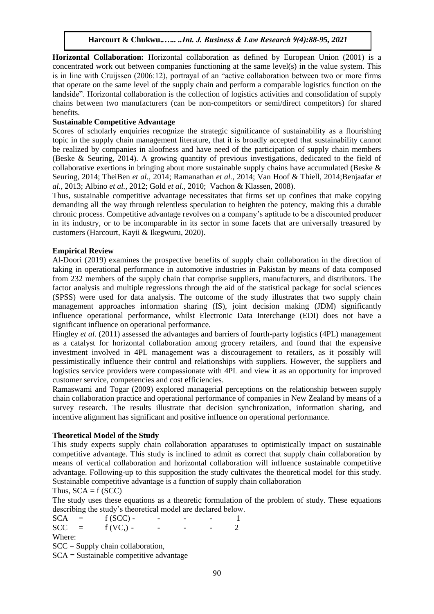**Horizontal Collaboration:** Horizontal collaboration as defined by European Union (2001) is a concentrated work out between companies functioning at the same level(s) in the value system. This is in line with Cruijssen (2006:12), portrayal of an "active collaboration between two or more firms that operate on the same level of the supply chain and perform a comparable logistics function on the landside". Horizontal collaboration is the collection of logistics activities and consolidation of supply chains between two manufacturers (can be non-competitors or semi/direct competitors) for shared benefits.

# **Sustainable Competitive Advantage**

Scores of scholarly enquiries recognize the strategic significance of sustainability as a flourishing topic in the supply chain management literature, that it is broadly accepted that sustainability cannot be realized by companies in aloofness and have need of the participation of supply chain members (Beske & Seuring, 2014). A growing quantity of previous investigations, dedicated to the field of collaborative exertions in bringing about more sustainable supply chains have accumulated (Beske  $\&$ Seuring, 2014; TheiBen *et al.,* 2014; Ramanathan *et al.,* 2014; Van Hoof & Thiell, 2014;Benjaafar *et al.,* 2013; Albino *et al.,* 2012; Gold *et al.,* 2010; Vachon & Klassen, 2008).

Thus, sustainable competitive advantage necessitates that firms set up confines that make copying demanding all the way through relentless speculation to heighten the potency, making this a durable chronic process. Competitive advantage revolves on a company's aptitude to be a discounted producer in its industry, or to be incomparable in its sector in some facets that are universally treasured by customers (Harcourt, Kayii & Ikegwuru, 2020).

# **Empirical Review**

Al-Doori (2019) examines the prospective benefits of supply chain collaboration in the direction of taking in operational performance in automotive industries in Pakistan by means of data composed from 232 members of the supply chain that comprise suppliers, manufacturers, and distributors. The factor analysis and multiple regressions through the aid of the statistical package for social sciences (SPSS) were used for data analysis. The outcome of the study illustrates that two supply chain management approaches information sharing (IS), joint decision making (JDM) significantly influence operational performance, whilst Electronic Data Interchange (EDI) does not have a significant influence on operational performance.

Hingley *et al*. (2011) assessed the advantages and barriers of fourth-party logistics (4PL) management as a catalyst for horizontal collaboration among grocery retailers, and found that the expensive investment involved in 4PL management was a discouragement to retailers, as it possibly will pessimistically influence their control and relationships with suppliers. However, the suppliers and logistics service providers were compassionate with 4PL and view it as an opportunity for improved customer service, competencies and cost efficiencies.

Ramaswami and Togar (2009) explored managerial perceptions on the relationship between supply chain collaboration practice and operational performance of companies in New Zealand by means of a survey research. The results illustrate that decision synchronization, information sharing, and incentive alignment has significant and positive influence on operational performance.

# **Theoretical Model of the Study**

This study expects supply chain collaboration apparatuses to optimistically impact on sustainable competitive advantage. This study is inclined to admit as correct that supply chain collaboration by means of vertical collaboration and horizontal collaboration will influence sustainable competitive advantage. Following-up to this supposition the study cultivates the theoretical model for this study. Sustainable competitive advantage is a function of supply chain collaboration

Thus,  $SCA = f (SCC)$ 

The study uses these equations as a theoretic formulation of the problem of study. These equations describing the study's theoretical model are declared below.

 $SCA = f (SCC) - - - - - - 1$  $SCC = f(VC_1) - - - - - - - 2$ Where: SCC = Supply chain collaboration,

SCA = Sustainable competitive advantage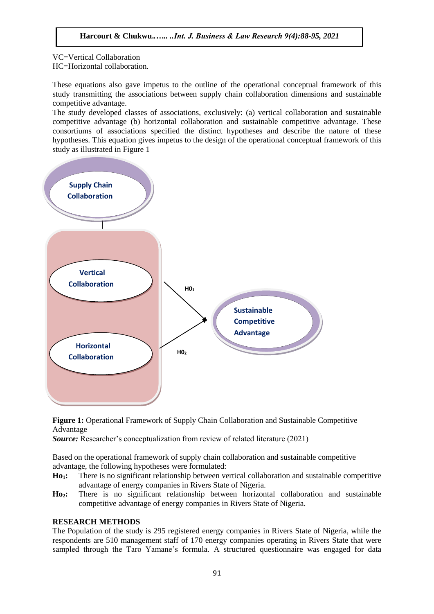VC=Vertical Collaboration HC=Horizontal collaboration.

These equations also gave impetus to the outline of the operational conceptual framework of this study transmitting the associations between supply chain collaboration dimensions and sustainable competitive advantage.

The study developed classes of associations, exclusively: (a) vertical collaboration and sustainable competitive advantage (b) horizontal collaboration and sustainable competitive advantage. These consortiums of associations specified the distinct hypotheses and describe the nature of these hypotheses. This equation gives impetus to the design of the operational conceptual framework of this study as illustrated in Figure 1



**Figure 1:** Operational Framework of Supply Chain Collaboration and Sustainable Competitive Advantage

*Source:* Researcher's conceptualization from review of related literature (2021)

Based on the operational framework of supply chain collaboration and sustainable competitive advantage, the following hypotheses were formulated:

**Ho1:** There is no significant relationship between vertical collaboration and sustainable competitive advantage of energy companies in Rivers State of Nigeria.

**Ho2:** There is no significant relationship between horizontal collaboration and sustainable competitive advantage of energy companies in Rivers State of Nigeria.

## **RESEARCH METHODS**

The Population of the study is 295 registered energy companies in Rivers State of Nigeria, while the respondents are 510 management staff of 170 energy companies operating in Rivers State that were sampled through the Taro Yamane's formula. A structured questionnaire was engaged for data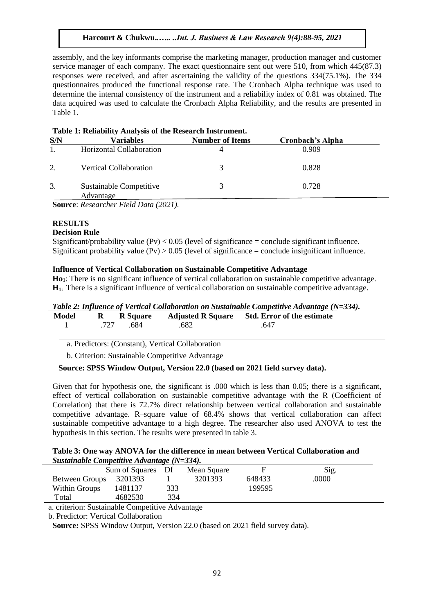assembly, and the key informants comprise the marketing manager, production manager and customer service manager of each company. The exact questionnaire sent out were 510, from which 445(87.3) responses were received, and after ascertaining the validity of the questions 334(75.1%). The 334 questionnaires produced the functional response rate. The Cronbach Alpha technique was used to determine the internal consistency of the instrument and a reliability index of 0.81 was obtained. The data acquired was used to calculate the Cronbach Alpha Reliability, and the results are presented in Table 1.

|                | Lable 1. Kenability Analysis of the Research Histi unient. |                        |                         |  |  |  |  |
|----------------|------------------------------------------------------------|------------------------|-------------------------|--|--|--|--|
| S/N            | <b>Variables</b>                                           | <b>Number of Items</b> | <b>Cronbach's Alpha</b> |  |  |  |  |
| $\mathbf{1}$ . | Horizontal Collaboration                                   |                        | 0.909                   |  |  |  |  |
| 2.             | <b>Vertical Collaboration</b>                              | 3                      | 0.828                   |  |  |  |  |
| 3.             | Sustainable Competitive<br>Advantage                       | 3                      | 0.728                   |  |  |  |  |
|                | <b>Source:</b> Researcher Field Data (2021).               |                        |                         |  |  |  |  |

**Table 1: Reliability Analysis of the Research Instrument.**

# **RESULTS**

## **Decision Rule**

Significant/probability value  $(Pv) < 0.05$  (level of significance = conclude significant influence. Significant probability value  $(Pv) > 0.05$  (level of significance = conclude insignificant influence.

## **Influence of Vertical Collaboration on Sustainable Competitive Advantage**

**Ho1**: There is no significant influence of vertical collaboration on sustainable competitive advantage. **H1:** There is a significant influence of vertical collaboration on sustainable competitive advantage.

| Table 2: Influence of Vertical Collaboration on Sustainable Competitive Advantage (N=334). |  |
|--------------------------------------------------------------------------------------------|--|
|                                                                                            |  |

|  |                  | Model R R Square Adjusted R Square Std. Error of the estimate |  |
|--|------------------|---------------------------------------------------------------|--|
|  | 1 .727 .684 .682 | .647                                                          |  |
|  |                  |                                                               |  |

a. Predictors: (Constant), Vertical Collaboration

b. Criterion: Sustainable Competitive Advantage

# **Source: SPSS Window Output, Version 22.0 (based on 2021 field survey data).**

Given that for hypothesis one, the significant is .000 which is less than 0.05; there is a significant, effect of vertical collaboration on sustainable competitive advantage with the R (Coefficient of Correlation) that there is 72.7% direct relationship between vertical collaboration and sustainable competitive advantage. R–square value of 68.4% shows that vertical collaboration can affect sustainable competitive advantage to a high degree. The researcher also used ANOVA to test the hypothesis in this section. The results were presented in table 3.

#### **Table 3: One way ANOVA for the difference in mean between Vertical Collaboration and**  *Sustainable Competitive Advantage (N=334).*

|                | Sum of Squares Df |     | Mean Square |        | Sig.  |
|----------------|-------------------|-----|-------------|--------|-------|
| Between Groups | 3201393           |     | 3201393     | 648433 | .0000 |
| Within Groups  | 1481137           | 333 |             | 199595 |       |
| Total          | 4682530           | 334 |             |        |       |

a. criterion: Sustainable Competitive Advantage

b. Predictor: Vertical Collaboration

**Source:** SPSS Window Output, Version 22.0 (based on 2021 field survey data).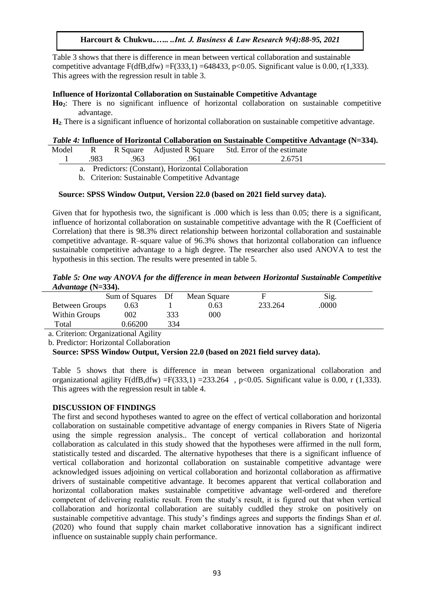Table 3 shows that there is difference in mean between vertical collaboration and sustainable competitive advantage  $F(dfB, dfw) = F(333, 1) = 648433$ , p<0.05. Significant value is 0.00, r(1,333). This agrees with the regression result in table 3.

## **Influence of Horizontal Collaboration on Sustainable Competitive Advantage**

**Ho2**: There is no significant influence of horizontal collaboration on sustainable competitive advantage.

**H2**: There is a significant influence of horizontal collaboration on sustainable competitive advantage.

## *Table 4:* **Influence of Horizontal Collaboration on Sustainable Competitive Advantage (N=334).**

| Model | $R_{\rm{max}}$ |      |      | R Square Adjusted R Square Std. Error of the estimate |  |
|-------|----------------|------|------|-------------------------------------------------------|--|
|       | .983           | .963 | .961 | 2.6751                                                |  |

a. Predictors: (Constant), Horizontal Collaboration

b. Criterion: Sustainable Competitive Advantage

## **Source: SPSS Window Output, Version 22.0 (based on 2021 field survey data).**

Given that for hypothesis two, the significant is .000 which is less than 0.05; there is a significant, influence of horizontal collaboration on sustainable competitive advantage with the R (Coefficient of Correlation) that there is 98.3% direct relationship between horizontal collaboration and sustainable competitive advantage. R–square value of 96.3% shows that horizontal collaboration can influence sustainable competitive advantage to a high degree. The researcher also used ANOVA to test the hypothesis in this section. The results were presented in table 5.

## *Table 5: One way ANOVA for the difference in mean between Horizontal Sustainable Competitive Advantage* **(N=334).**

|                | Sum of Squares Df |     | Mean Square |         | Sig.  |  |
|----------------|-------------------|-----|-------------|---------|-------|--|
| Between Groups | 0.63              |     | 0.63        | 233.264 | .0000 |  |
| Within Groups  | 002               | 333 | 000         |         |       |  |
| Total          | 0.66200           | 334 |             |         |       |  |

a. Criterion: Organizational Agility

b. Predictor: Horizontal Collaboration

# **Source: SPSS Window Output, Version 22.0 (based on 2021 field survey data).**

Table 5 shows that there is difference in mean between organizational collaboration and organizational agility F(dfB,dfw) =F(333,1) =233.264, p<0.05. Significant value is 0.00, r (1.333). This agrees with the regression result in table 4.

## **DISCUSSION OF FINDINGS**

The first and second hypotheses wanted to agree on the effect of vertical collaboration and horizontal collaboration on sustainable competitive advantage of energy companies in Rivers State of Nigeria using the simple regression analysis.. The concept of vertical collaboration and horizontal collaboration as calculated in this study showed that the hypotheses were affirmed in the null form, statistically tested and discarded. The alternative hypotheses that there is a significant influence of vertical collaboration and horizontal collaboration on sustainable competitive advantage were acknowledged issues adjoining on vertical collaboration and horizontal collaboration as affirmative drivers of sustainable competitive advantage. It becomes apparent that vertical collaboration and horizontal collaboration makes sustainable competitive advantage well-ordered and therefore competent of delivering realistic result. From the study's result, it is figured out that when vertical collaboration and horizontal collaboration are suitably cuddled they stroke on positively on sustainable competitive advantage. This study's findings agrees and supports the findings Shan *et al.* (2020) who found that supply chain market collaborative innovation has a significant indirect influence on sustainable supply chain performance.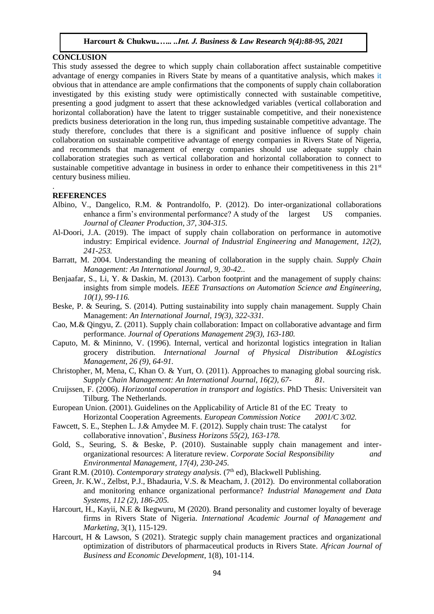#### **CONCLUSION**

This study assessed the degree to which supply chain collaboration affect sustainable competitive advantage of energy companies in Rivers State by means of a quantitative analysis, which makes it obvious that in attendance are ample confirmations that the components of supply chain collaboration investigated by this existing study were optimistically connected with sustainable competitive, presenting a good judgment to assert that these acknowledged variables (vertical collaboration and horizontal collaboration) have the latent to trigger sustainable competitive, and their nonexistence predicts business deterioration in the long run, thus impeding sustainable competitive advantage. The study therefore, concludes that there is a significant and positive influence of supply chain collaboration on sustainable competitive advantage of energy companies in Rivers State of Nigeria, and recommends that management of energy companies should use adequate supply chain collaboration strategies such as vertical collaboration and horizontal collaboration to connect to sustainable competitive advantage in business in order to enhance their competitiveness in this  $21<sup>st</sup>$ century business milieu.

#### **REFERENCES**

.

- Albino, V., Dangelico, R.M. & Pontrandolfo, P. (2012). Do inter-organizational collaborations enhance a firm's environmental performance? A study of the largest US companies. *Journal of Cleaner Production, 37, 304-315.*
- Al-Doori, J.A. (2019). The impact of supply chain collaboration on performance in automotive industry: Empirical evidence. *Journal of Industrial Engineering and Management, 12(2), 241-253.*
- Barratt, M. 2004. Understanding the meaning of collaboration in the supply chain. *Supply Chain Management: An International Journal, 9, 30-42.*.
- Benjaafar, S., Li, Y. & Daskin, M. (2013). Carbon footprint and the management of supply chains: insights from simple models. *IEEE Transactions on Automation Science and Engineering, 10(1), 99-116.*
- Beske, P. & Seuring, S. (2014). Putting sustainability into supply chain management. Supply Chain Management: *An International Journal, 19(3), 322-331.*
- Cao, M.& Qingyu, Z. (2011). Supply chain collaboration: Impact on collaborative advantage and firm performance. *Journal of Operations Management 29(3), 163-180.*
- Caputo, M. & Mininno, V. (1996). Internal, vertical and horizontal logistics integration in Italian grocery distribution. *International Journal of Physical Distribution &Logistics Management, 26 (9), 64-91.*
- Christopher, M, Mena, C, Khan O. & Yurt, O. (2011). Approaches to managing global sourcing risk. *Supply Chain Management: An International Journal, 16(2), 67- 81.*
- Cruijssen, F. (2006). *Horizontal cooperation in transport and logistics*. PhD Thesis: Universiteit van Tilburg. The Netherlands.
- European Union. (2001). Guidelines on the Applicability of Article 81 of the EC Treaty to Horizontal Cooperation Agreements. *European Commission Notice 2001/C 3/02.*
- Fawcett, S. E., Stephen L. J.& Amydee M. F. (2012). Supply chain trust: The catalyst for collaborative innovation', *Business Horizons 55(2), 163-178.*
- Gold, S., Seuring, S. & Beske, P. (2010). Sustainable supply chain management and interorganizational resources: A literature review. *Corporate Social Responsibility and Environmental Management, 17(4), 230-245.*
- Grant R.M. (2010). *Contemporary strategy analysis*. (7<sup>th</sup> ed), Blackwell Publishing.
- Green, Jr. K.W., Zelbst, P.J., Bhadauria, V.S. & Meacham, J. (2012). Do environmental collaboration and monitoring enhance organizational performance? *Industrial Management and Data Systems, 112 (2), 186-205.*
- Harcourt, H., Kayii, N.E & Ikegwuru, M (2020). Brand personality and customer loyalty of beverage firms in Rivers State of Nigeria. *International Academic Journal of Management and Marketing,* 3(1), 115-129.
- Harcourt, H & Lawson, S (2021). Strategic supply chain management practices and organizational optimization of distributors of pharmaceutical products in Rivers State. *African Journal of Business and Economic Development*, 1(8), 101-114.